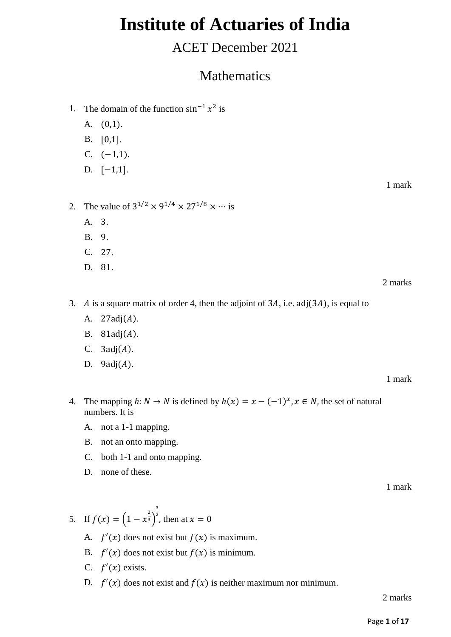# **Institute of Actuaries of India**

## ACET December 2021

## Mathematics

- 1. The domain of the function  $\sin^{-1} x^2$  is
	- A. (0,1).
	- B. [0,1].
	- C.  $(-1,1)$ .
	- D. [-1,1].

1 mark

- 2. The value of  $3^{1/2} \times 9^{1/4} \times 27^{1/8} \times \cdots$  is
	- A. 3.
	- B. 9.
	- C. 27.
	- D. 81.

2 marks

- 3. A is a square matrix of order 4, then the adjoint of  $3A$ , i.e. adj( $3A$ ), is equal to
	- A.  $27adj(A)$ .
	- B.  $81adj(A)$ .
	- C.  $3adj(A)$ .
	- D.  $9adj(A)$ .

1 mark

- 4. The mapping  $h: N \to N$  is defined by  $h(x) = x (-1)^x, x \in N$ , the set of natural numbers. It is
	- A. not a 1-1 mapping.
	- B. not an onto mapping.
	- C. both 1-1 and onto mapping.
	- D. none of these.

1 mark

- 5. If  $f(x) = \left(1 x^{\frac{2}{3}}\right)$ 3  $^2$ , then at  $x = 0$ 
	- A.  $f'(x)$  does not exist but  $f(x)$  is maximum.
	- B.  $f'(x)$  does not exist but  $f(x)$  is minimum.
	- C.  $f'(x)$  exists.
	- D.  $f'(x)$  does not exist and  $f(x)$  is neither maximum nor minimum.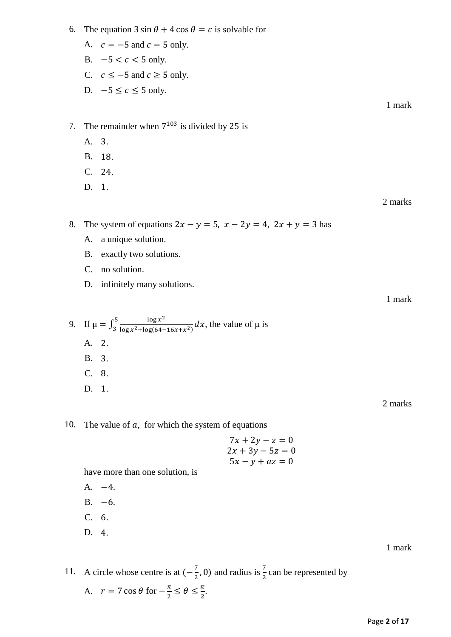Page **2** of **17**

- 6. The equation  $3 \sin \theta + 4 \cos \theta = c$  is solvable for
	- A.  $c = -5$  and  $c = 5$  only.
	- B.  $-5 < c < 5$  only.
	- C.  $c \le -5$  and  $c \ge 5$  only.
	- D.  $-5 \leq c \leq 5$  only.

1 mark

- 7. The remainder when  $7^{103}$  is divided by 25 is
	- A. 3.
	- B. 18.
	- C. 24.
	- D. 1.

2 marks

8. The system of equations  $2x - y = 5$ ,  $x - 2y = 4$ ,  $2x + y = 3$  has

- A. a unique solution.
- B. exactly two solutions.
- C. no solution.
- D. infinitely many solutions.

1 mark

9. If 
$$
\mu = \int_3^5 \frac{\log x^2}{\log x^2 + \log(64 - 16x + x^2)} dx
$$
, the value of  $\mu$  is  
A. 2.  
B. 3.  
C. 8.  
D. 1.

2 marks

### 10. The value of  $a$ , for which the system of equations

$$
7x + 2y - z = 0
$$
  
\n
$$
2x + 3y - 5z = 0
$$
  
\n
$$
5x - y + az = 0
$$

have more than one solution, is

A. −4.

1 mark

# $B. -6.$ C. 6. D. 4.

#### 11. A circle whose centre is at  $\left(-\frac{7}{3}\right)$  $(\frac{7}{2}, 0)$  and radius is  $\frac{7}{2}$  can be represented by A.  $r = 7 \cos \theta$  for  $-\frac{\pi}{2}$  $\frac{\pi}{2} \leq \theta \leq \frac{\pi}{2}$  $\frac{\pi}{2}$ .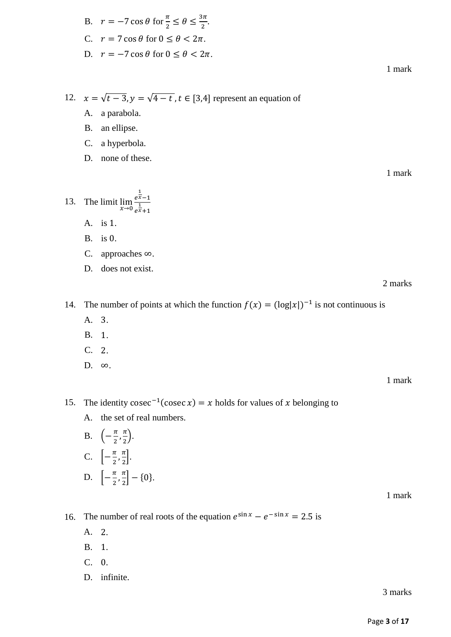1 mark

12. 
$$
x = \sqrt{t-3}
$$
,  $y = \sqrt{4-t}$ ,  $t \in [3,4]$  represent an equation of

A. a parabola.

B. an ellipse.

C. a hyperbola.

D. none of these.

13. The limit  $\lim_{x\to 0} \frac{e^{\frac{1}{x}-1}}{e^{\frac{1}{x}+1}}$  $\frac{1}{e^{\frac{1}{x}}+1}$ 

A. is 1.

B. is 0.

C. approaches ∞.

D. does not exist.

2 marks

14. The number of points at which the function  $f(x) = (\log|x|)^{-1}$  is not continuous is

- A. 3.
- B. 1.
- C. 2.
- D. ∞.

1 mark

15. The identity cosec<sup>-1</sup>(cosec x) = x holds for values of x belonging to

A. the set of real numbers.

B. 
$$
\left(-\frac{\pi}{2}, \frac{\pi}{2}\right)
$$
.  
\nC.  $\left[-\frac{\pi}{2}, \frac{\pi}{2}\right]$ .  
\nD.  $\left[-\frac{\pi}{2}, \frac{\pi}{2}\right] - \{0\}$ .

1 mark

- 16. The number of real roots of the equation  $e^{\sin x} e^{-\sin x} = 2.5$  is
	- A. 2.
	- B. 1.
	- C. 0.
	- D. infinite.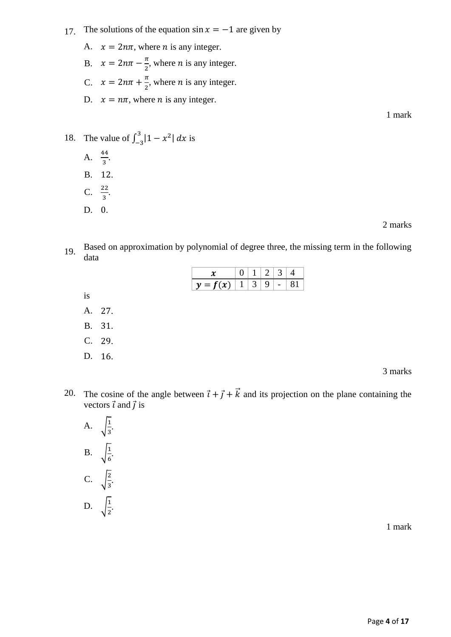### 17. The solutions of the equation  $\sin x = -1$  are given by

A.  $x = 2n\pi$ , where *n* is any integer. B.  $x = 2n\pi - \frac{\pi}{2}$  $\frac{\pi}{2}$ , where *n* is any integer. C.  $x = 2n\pi + \frac{\pi}{2}$  $\frac{\pi}{2}$ , where *n* is any integer. D.  $x = n\pi$ , where *n* is any integer. 1 mark

#### 18. The value of  $\int_{-3}^{3} |1 - x^2|$  $\int_{-3}^{5} |1 - x^2| dx$  is

- A.  $\frac{44}{3}$ . B. 12.
- C.  $\frac{22}{3}$ .
- D. 0.

is  $A$ .

**B.**  $C.$ 

D.

2 marks

3 marks

19. Based on approximation by polynomial of degree three, the missing term in the following data

| 3<br>$\overline{2}$<br>1<br>0<br>$\boldsymbol{\mathcal{X}}$      | 4  |
|------------------------------------------------------------------|----|
| $y = f(x)$<br>3<br>$\mathbf{1}$<br>9<br>$\overline{\phantom{a}}$ | 81 |
|                                                                  |    |
| 27.                                                              |    |
| 31.                                                              |    |
| 29.                                                              |    |
| 16.                                                              |    |
|                                                                  |    |

20. The cosine of the angle between  $\vec{i} + \vec{j} + \vec{k}$  and its projection on the plane containing the vectors  $\vec{\iota}$  and  $\vec{\jmath}$  is

A. 
$$
\sqrt{\frac{1}{3}}
$$
.  
B. 
$$
\sqrt{\frac{1}{6}}
$$
.  
C. 
$$
\sqrt{\frac{2}{3}}
$$
.  
D. 
$$
\sqrt{\frac{1}{2}}
$$
.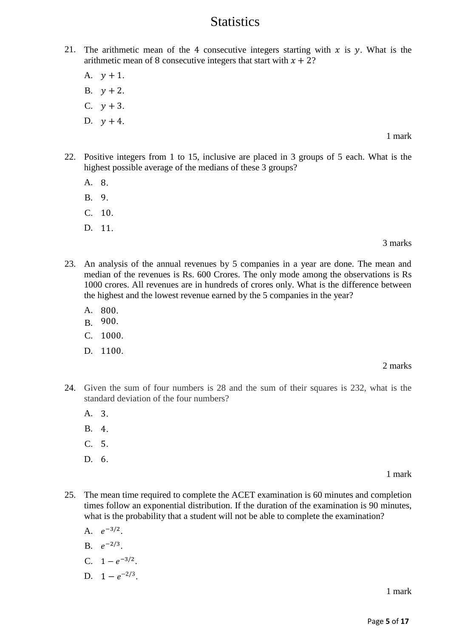### **Statistics**

- 21. The arithmetic mean of the 4 consecutive integers starting with  $x$  is  $y$ . What is the arithmetic mean of 8 consecutive integers that start with  $x + 2$ ?
	- A.  $y + 1$ .
	- $B. \quad y + 2.$
	- C.  $y + 3$ .
	- D.  $y + 4$ .

1 mark

- 22. Positive integers from 1 to 15, inclusive are placed in 3 groups of 5 each. What is the highest possible average of the medians of these 3 groups?
	- A. 8.
	- B. 9.
	- C. 10.
	- D. 11.

#### 3 marks

- 23. An analysis of the annual revenues by 5 companies in a year are done. The mean and median of the revenues is Rs. 600 Crores. The only mode among the observations is Rs 1000 crores. All revenues are in hundreds of crores only. What is the difference between the highest and the lowest revenue earned by the 5 companies in the year?
	- A. 800.
	- B. 900.
	- C. 1000.
	- D. 1100.

#### 2 marks

- 24. Given the sum of four numbers is 28 and the sum of their squares is 232, what is the standard deviation of the four numbers?
	- A. 3.
	- B. 4.
	- $C<sub>5</sub>$
	- D. 6.

### 1 mark

- 25. The mean time required to complete the ACET examination is 60 minutes and completion times follow an exponential distribution. If the duration of the examination is 90 minutes, what is the probability that a student will not be able to complete the examination?
	- A.  $e^{-3/2}$ .
	- B.  $e^{-2/3}$ .
	- C.  $1 e^{-3/2}$ .
	- D.  $1 e^{-2/3}$ .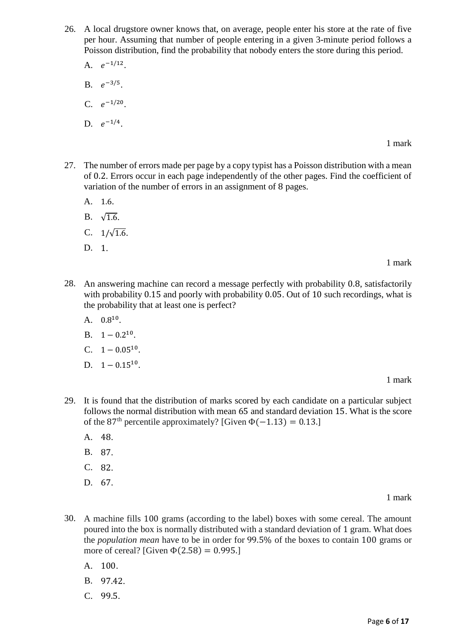26. A local drugstore owner knows that, on average, people enter his store at the rate of five per hour. Assuming that number of people entering in a given 3-minute period follows a Poisson distribution, find the probability that nobody enters the store during this period.

A.  $e^{-1/12}$ .

- B.  $e^{-3/5}$ .
- C.  $e^{-1/20}$ .

D. 
$$
e^{-1/4}
$$
.

1 mark

- 27. The number of errors made per page by a copy typist has a Poisson distribution with a mean of 0.2. Errors occur in each page independently of the other pages. Find the coefficient of variation of the number of errors in an assignment of 8 pages.
	- A. 1.6.
	- B.  $\sqrt{1.6}$ .
	- C.  $1/\sqrt{1.6}$ .
	- D. 1.

1 mark

- 28. An answering machine can record a message perfectly with probability 0.8, satisfactorily with probability 0.15 and poorly with probability 0.05. Out of 10 such recordings, what is the probability that at least one is perfect?
	- A.  $0.8^{10}$ .
	- B.  $1 0.2^{10}$ .
	- C.  $1 0.05^{10}$ .
	- D.  $1 0.15^{10}$ .

1 mark

- 29. It is found that the distribution of marks scored by each candidate on a particular subject follows the normal distribution with mean 65 and standard deviation 15. What is the score of the 87<sup>th</sup> percentile approximately? [Given  $\Phi(-1.13) = 0.13$ .]
	- A. 48.
	- B. 87.
	- C. 82.
	- D. 67.

- 30. A machine fills 100 grams (according to the label) boxes with some cereal. The amount poured into the box is normally distributed with a standard deviation of 1 gram. What does the *population mean* have to be in order for 99.5% of the boxes to contain 100 grams or more of cereal? [Given  $\Phi$ (2.58) = 0.995.]
	- A. 100.
	- B. 97.42.
	- C. 99.5.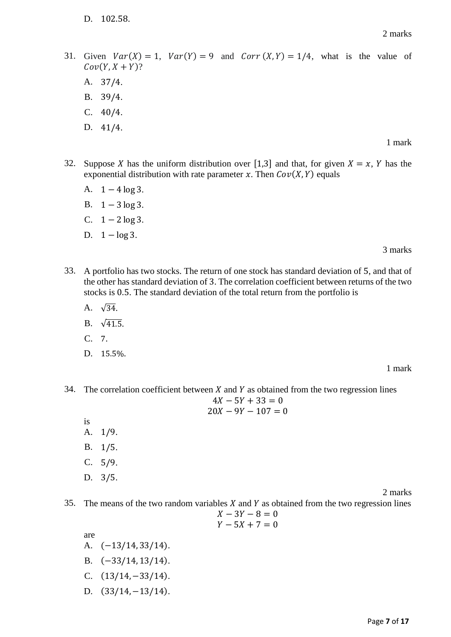D. 102.58.

2 marks

31. Given  $Var(X) = 1$ ,  $Var(Y) = 9$  and  $Corr(X, Y) = 1/4$ , what is the value of  $Cov(Y, X + Y)$ ?

A. 37/4.

- B. 39/4.
- C. 40/4.
- D. 41/4.

#### 1 mark

- 32. Suppose X has the uniform distribution over [1,3] and that, for given  $X = x$ , Y has the exponential distribution with rate parameter x. Then  $Cov(X, Y)$  equals
	- A.  $1 4 \log 3$ .
	- B.  $1 3 \log 3$ .
	- C.  $1 2 \log 3$ .
	- D.  $1 \log 3$ .

3 marks

- 33. A portfolio has two stocks. The return of one stock has standard deviation of 5, and that of the other has standard deviation of 3. The correlation coefficient between returns of the two stocks is 0.5. The standard deviation of the total return from the portfolio is
	- A.  $\sqrt{34}$ .
	- B.  $\sqrt{41.5}$ .
	- C. 7.
	- D. 15.5%.

#### 1 mark

34. The correlation coefficient between  $X$  and  $Y$  as obtained from the two regression lines  $4X - 5Y + 33 = 0$ 

- $20X 9Y 107 = 0$
- is A. 1/9.
- B. 1/5.
- C. 5/9.
- D. 3/5.

2 marks

- 35. The means of the two random variables  $X$  and  $Y$  as obtained from the two regression lines
	- $X 3Y 8 = 0$  $Y - 5X + 7 = 0$

are

- A. (−13/14, 33/14).
- B. (−33/14, 13/14).
- C.  $(13/14, -33/14)$ .
- D.  $(33/14, -13/14)$ .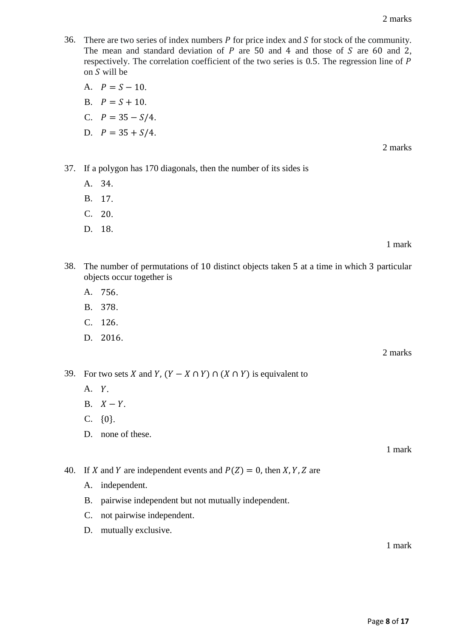- 36. There are two series of index numbers  $P$  for price index and  $S$  for stock of the community. The mean and standard deviation of  $P$  are 50 and 4 and those of  $S$  are 60 and 2, respectively. The correlation coefficient of the two series is 0.5. The regression line of P on  $S$  will be
	- A.  $P = S 10$ . B.  $P = S + 10$ . C.  $P = 35 - S/4$ . D.  $P = 35 + S/4$ .

2 marks

- 37. If a polygon has 170 diagonals, then the number of its sides is
	- A. 34.
	- B. 17.
	- C. 20.
	- D. 18.

1 mark

- 38. The number of permutations of 10 distinct objects taken 5 at a time in which 3 particular objects occur together is
	- A. 756.
	- B. 378.
	- C. 126.
	- D. 2016.

2 marks

39. For two sets X and Y,  $(Y - X \cap Y) \cap (X \cap Y)$  is equivalent to

- $A. Y.$
- B.  $X Y$ .
- C. {0}.
- D. none of these.

1 mark

40. If X and Y are independent events and  $P(Z) = 0$ , then X, Y, Z are

- A. independent.
- B. pairwise independent but not mutually independent.
- C. not pairwise independent.
- D. mutually exclusive.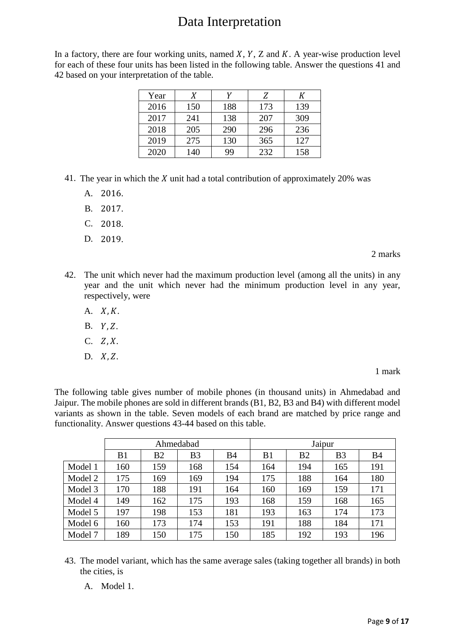## Data Interpretation

In a factory, there are four working units, named  $X$ ,  $Y$ ,  $Z$  and  $K$ . A year-wise production level for each of these four units has been listed in the following table. Answer the questions 41 and 42 based on your interpretation of the table.

| Year | Χ   | v   | Z   | К   |
|------|-----|-----|-----|-----|
| 2016 | 150 | 188 | 173 | 139 |
| 2017 | 241 | 138 | 207 | 309 |
| 2018 | 205 | 290 | 296 | 236 |
| 2019 | 275 | 130 | 365 | 127 |
| 2020 | 140 | 99  | 232 | 158 |

- 41. The year in which the  $X$  unit had a total contribution of approximately 20% was
	- A. 2016.
	- B. 2017.
	- C. 2018.
	- D. 2019.

2 marks

- 42. The unit which never had the maximum production level (among all the units) in any year and the unit which never had the minimum production level in any year, respectively, were
	- A.  $X, K$ .
	- $B. Y, Z.$
	- $C. Z, X.$
	- $D. X, Z.$

1 mark

The following table gives number of mobile phones (in thousand units) in Ahmedabad and Jaipur. The mobile phones are sold in different brands (B1, B2, B3 and B4) with different model variants as shown in the table. Seven models of each brand are matched by price range and functionality. Answer questions 43-44 based on this table.

|         | Ahmedabad |                |                | Jaipur     |     |                |                |           |
|---------|-----------|----------------|----------------|------------|-----|----------------|----------------|-----------|
|         | B1        | B <sub>2</sub> | B <sub>3</sub> | <b>B</b> 4 | B1  | B <sub>2</sub> | B <sub>3</sub> | <b>B4</b> |
| Model 1 | 160       | 159            | 168            | 154        | 164 | 194            | 165            | 191       |
| Model 2 | 175       | 169            | 169            | 194        | 175 | 188            | 164            | 180       |
| Model 3 | 170       | 188            | 191            | 164        | 160 | 169            | 159            | 171       |
| Model 4 | 149       | 162            | 175            | 193        | 168 | 159            | 168            | 165       |
| Model 5 | 197       | 198            | 153            | 181        | 193 | 163            | 174            | 173       |
| Model 6 | 160       | 173            | 174            | 153        | 191 | 188            | 184            | 171       |
| Model 7 | 189       | 150            | 175            | 150        | 185 | 192            | 193            | 196       |

- 43. The model variant, which has the same average sales (taking together all brands) in both the cities, is
	- A. Model 1.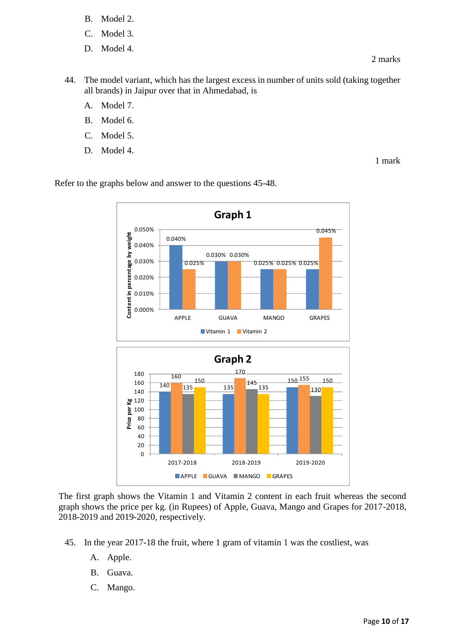- B. Model 2.
- C. Model 3.
- D. Model 4.

- 44. The model variant, which has the largest excess in number of units sold (taking together all brands) in Jaipur over that in Ahmedabad, is
	- A. Model 7.
	- B. Model 6.
	- C. Model 5.
	- D. Model 4.

Refer to the graphs below and answer to the questions 45-48.



The first graph shows the Vitamin 1 and Vitamin 2 content in each fruit whereas the second graph shows the price per kg. (in Rupees) of Apple, Guava, Mango and Grapes for 2017-2018, 2018-2019 and 2019-2020, respectively.

- 45. In the year 2017-18 the fruit, where 1 gram of vitamin 1 was the costliest, was
	- A. Apple.
	- B. Guava.
	- C. Mango.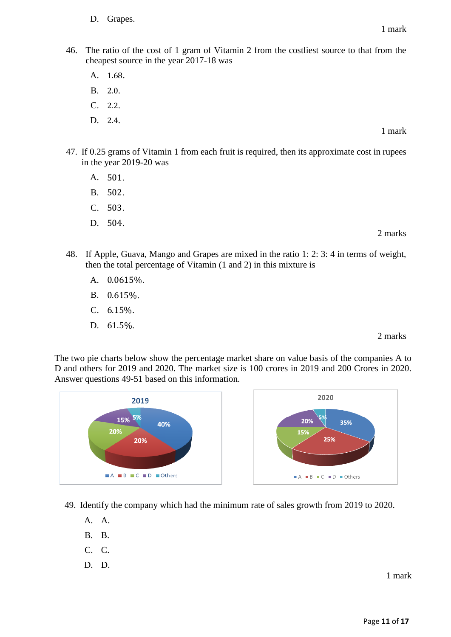- D. Grapes.
- 46. The ratio of the cost of 1 gram of Vitamin 2 from the costliest source to that from the cheapest source in the year 2017-18 was

A. 1.68.

- B. 2.0.
- $C. 2.2.$
- D. 2.4.
- 47. If 0.25 grams of Vitamin 1 from each fruit is required, then its approximate cost in rupees in the year 2019-20 was
	- A. 501.
	- B. 502.
	- C. 503.
	- D. 504.
- 48. If Apple, Guava, Mango and Grapes are mixed in the ratio 1: 2: 3: 4 in terms of weight, then the total percentage of Vitamin (1 and 2) in this mixture is
	- A. 0.0615%.
	- B. 0.615%.
	- C. 6.15%.
	- D. 61.5%.

2 marks

2 marks

The two pie charts below show the percentage market share on value basis of the companies A to D and others for 2019 and 2020. The market size is 100 crores in 2019 and 200 Crores in 2020. Answer questions 49-51 based on this information.



49. Identify the company which had the minimum rate of sales growth from 2019 to 2020.

- A. A.
- B. B.
- C. C.
- D. D.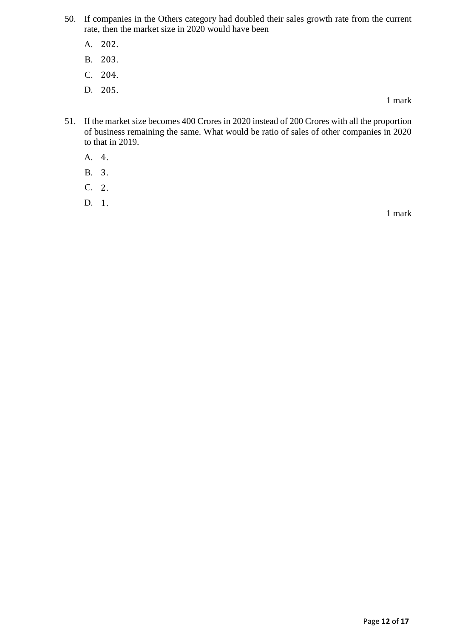- 50. If companies in the Others category had doubled their sales growth rate from the current rate, then the market size in 2020 would have been
	- A. 202.
	- B. 203.
	- C. 204.
	- D. 205.

- 51. If the market size becomes 400 Crores in 2020 instead of 200 Crores with all the proportion of business remaining the same. What would be ratio of sales of other companies in 2020 to that in 2019.
	- A. 4.
	- B. 3.
	- C. 2.
	- D. 1.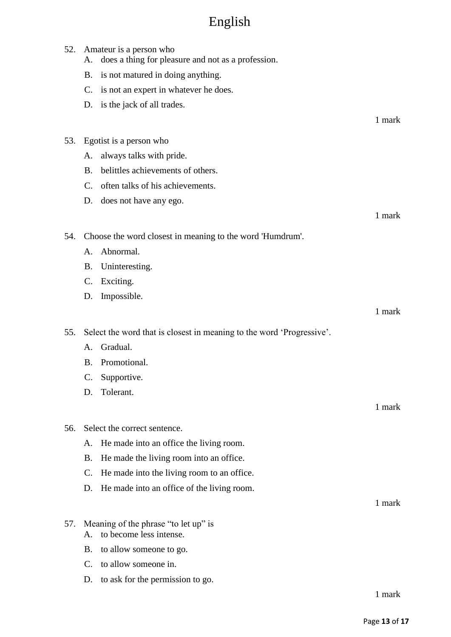# English

| 52. | A.              | Amateur is a person who<br>does a thing for pleasure and not as a profession. |        |
|-----|-----------------|-------------------------------------------------------------------------------|--------|
|     | <b>B.</b>       | is not matured in doing anything.                                             |        |
|     | C.              | is not an expert in whatever he does.                                         |        |
|     | D.              | is the jack of all trades.                                                    |        |
|     |                 |                                                                               | 1 mark |
|     |                 |                                                                               |        |
| 53. |                 | Egotist is a person who                                                       |        |
|     | А.              | always talks with pride.                                                      |        |
|     | <b>B.</b>       | belittles achievements of others.                                             |        |
|     | $\mathcal{C}$ . | often talks of his achievements.                                              |        |
|     | D.              | does not have any ego.                                                        |        |
|     |                 |                                                                               | 1 mark |
| 54. |                 | Choose the word closest in meaning to the word 'Humdrum'.                     |        |
|     | A.              | Abnormal.                                                                     |        |
|     | <b>B.</b>       | Uninteresting.                                                                |        |
|     | C.              | Exciting.                                                                     |        |
|     | D.              | Impossible.                                                                   |        |
|     |                 |                                                                               | 1 mark |
| 55. |                 |                                                                               |        |
|     |                 | Select the word that is closest in meaning to the word 'Progressive'.         |        |
|     | A.              | Gradual.                                                                      |        |
|     | B.              | Promotional.                                                                  |        |
|     | $\mathsf{C}$ .  | Supportive.                                                                   |        |
|     | D.              | Tolerant.                                                                     |        |
|     |                 |                                                                               | 1 mark |
| 56. |                 | Select the correct sentence.                                                  |        |
|     | А.              | He made into an office the living room.                                       |        |
|     | <b>B.</b>       | He made the living room into an office.                                       |        |
|     | C.              | He made into the living room to an office.                                    |        |
|     | D.              | He made into an office of the living room.                                    |        |
|     |                 |                                                                               | 1 mark |
|     |                 |                                                                               |        |
| 57. | A.              | Meaning of the phrase "to let up" is<br>to become less intense.               |        |
|     | Β.              | to allow someone to go.                                                       |        |
|     | $\mathbf{C}$ .  | to allow someone in.                                                          |        |
|     | D.              | to ask for the permission to go.                                              |        |
|     |                 |                                                                               | 1 mark |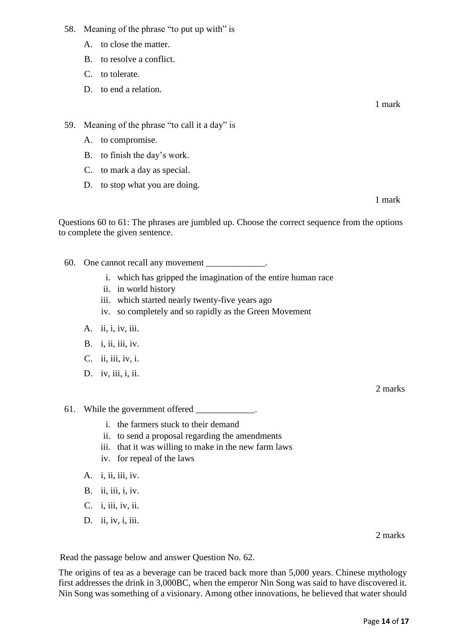- 58. Meaning of the phrase "to put up with" is
	- A. to close the matter.
	- B. to resolve a conflict.
	- C. to tolerate.
	- D. to end a relation.

59. Meaning of the phrase "to call it a day" is

- A. to compromise.
- B. to finish the day's work.
- C. to mark a day as special.
- D. to stop what you are doing.

1 mark

Questions 60 to 61: The phrases are jumbled up. Choose the correct sequence from the options to complete the given sentence.

- 60. One cannot recall any movement
	- i. which has gripped the imagination of the entire human race
	- ii. in world history
	- iii. which started nearly twenty-five years ago
	- iv. so completely and so rapidly as the Green Movement
	- A. ii, i, iv, iii.
	- B. *i*, *ii*, *iii*, *iv*.
	- C. ii, iii, iv, i.
	- D. iv, iii, i, ii.

2 marks

- 61. While the government offered
	- i. the farmers stuck to their demand
	- ii. to send a proposal regarding the amendments
	- iii. that it was willing to make in the new farm laws
	- iv. for repeal of the laws
	- A. i, ii, iii, iv.
	- B. ii, iii, i, iv.
	- C. i, iii, iv, ii.
	- D. ii, iv, i, iii.

2 marks

Read the passage below and answer Question No. 62.

The origins of tea as a beverage can be traced back more than 5,000 years. Chinese mythology first addresses the drink in 3,000BC, when the emperor Nin Song was said to have discovered it. Nin Song was something of a visionary. Among other innovations, he believed that water should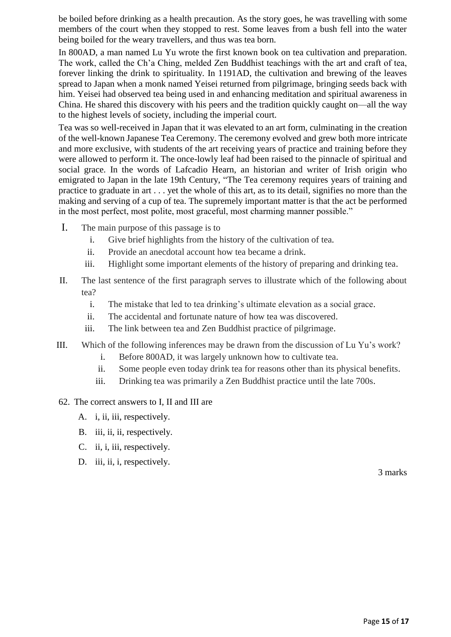be boiled before drinking as a health precaution. As the story goes, he was travelling with some members of the court when they stopped to rest. Some leaves from a bush fell into the water being boiled for the weary travellers, and thus was tea born.

In 800AD, a man named Lu Yu wrote the first known book on tea cultivation and preparation. The work, called the Ch'a Ching, melded Zen Buddhist teachings with the art and craft of tea, forever linking the drink to spirituality. In 1191AD, the cultivation and brewing of the leaves spread to Japan when a monk named Yeisei returned from pilgrimage, bringing seeds back with him. Yeisei had observed tea being used in and enhancing meditation and spiritual awareness in China. He shared this discovery with his peers and the tradition quickly caught on—all the way to the highest levels of society, including the imperial court.

Tea was so well-received in Japan that it was elevated to an art form, culminating in the creation of the well-known Japanese Tea Ceremony. The ceremony evolved and grew both more intricate and more exclusive, with students of the art receiving years of practice and training before they were allowed to perform it. The once-lowly leaf had been raised to the pinnacle of spiritual and social grace. In the words of Lafcadio Hearn, an historian and writer of Irish origin who emigrated to Japan in the late 19th Century, "The Tea ceremony requires years of training and practice to graduate in art . . . yet the whole of this art, as to its detail, signifies no more than the making and serving of a cup of tea. The supremely important matter is that the act be performed in the most perfect, most polite, most graceful, most charming manner possible."

- I. The main purpose of this passage is to
	- i. Give brief highlights from the history of the cultivation of tea.
	- ii. Provide an anecdotal account how tea became a drink.
	- iii. Highlight some important elements of the history of preparing and drinking tea.
- II. The last sentence of the first paragraph serves to illustrate which of the following about tea?
	- i. The mistake that led to tea drinking's ultimate elevation as a social grace.
	- ii. The accidental and fortunate nature of how tea was discovered.
	- iii. The link between tea and Zen Buddhist practice of pilgrimage.
- III. Which of the following inferences may be drawn from the discussion of Lu Yu's work?
	- i. Before 800AD, it was largely unknown how to cultivate tea.
	- ii. Some people even today drink tea for reasons other than its physical benefits.
	- iii. Drinking tea was primarily a Zen Buddhist practice until the late 700s.

### 62. The correct answers to I, II and III are

- A. i, ii, iii, respectively.
- B. iii, ii, ii, respectively.
- C. ii, i, iii, respectively.
- D. iii, ii, i, respectively.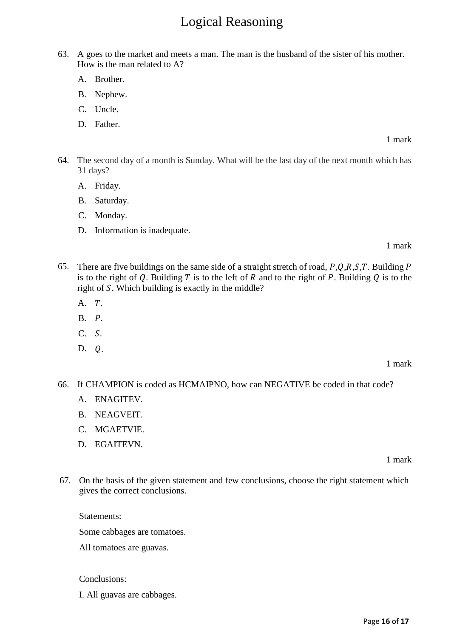# Logical Reasoning

- 63. A goes to the market and meets a man. The man is the husband of the sister of his mother. How is the man related to A?
	- A. Brother.
	- B. Nephew.
	- C. Uncle.
	- D. Father.

1 mark

- 64. The second day of a month is Sunday. What will be the last day of the next month which has 31 days?
	- A. Friday.
	- B. Saturday.
	- C. Monday.
	- D. Information is inadequate.

1 mark

- 65. There are five buildings on the same side of a straight stretch of road,  $P,Q,R,S,T$ . Building  $P$ is to the right of Q. Building T is to the left of R and to the right of P. Building Q is to the right of  $S$ . Which building is exactly in the middle?
	- $A. T.$
	- $B.$   $P.$
	- $C. S.$
	- D. 0.

1 mark

- 66. If CHAMPION is coded as HCMAIPNO, how can NEGATIVE be coded in that code?
	- A. ENAGITEV.
	- B. NEAGVEIT.
	- C. MGAETVIE.
	- D. EGAITEVN.

1 mark

67. On the basis of the given statement and few conclusions, choose the right statement which gives the correct conclusions.

Statements: Some cabbages are tomatoes. All tomatoes are guavas.

Conclusions:

I. All guavas are cabbages.